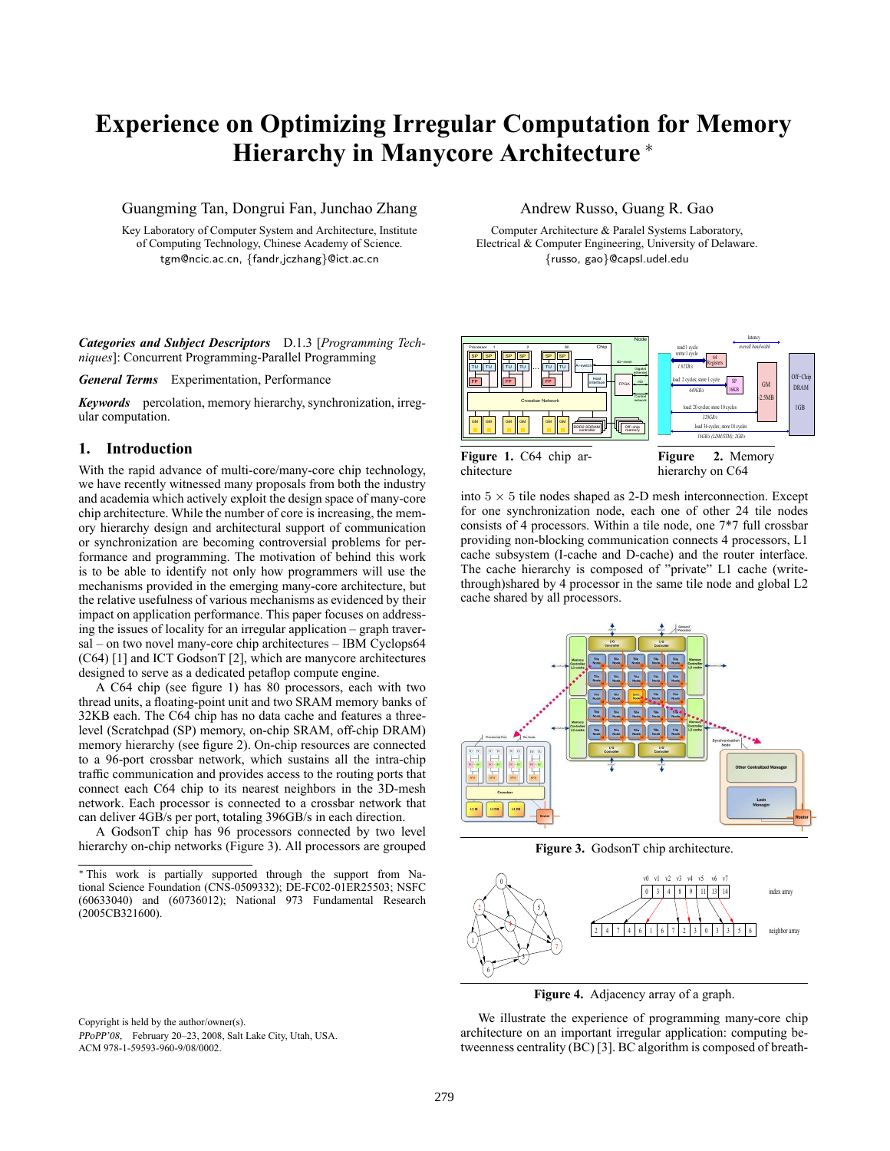# **Experience on Optimizing Irregular Computation for Memory Hierarchy in Manycore Architecture** <sup>∗</sup>

Guangming Tan, Dongrui Fan, Junchao Zhang

Key Laboratory of Computer System and Architecture, Institute of Computing Technology, Chinese Academy of Science. tgm@ncic.ac.cn, {fandr,jczhang}@ict.ac.cn

*Categories and Subject Descriptors* D.1.3 [*Programming Techniques*]: Concurrent Programming-Parallel Programming

*General Terms* Experimentation, Performance

*Keywords* percolation, memory hierarchy, synchronization, irregular computation.

### **1. Introduction**

With the rapid advance of multi-core/many-core chip technology, we have recently witnessed many proposals from both the industry and academia which actively exploit the design space of many-core chip architecture. While the number of core is increasing, the memory hierarchy design and architectural support of communication or synchronization are becoming controversial problems for performance and programming. The motivation of behind this work is to be able to identify not only how programmers will use the mechanisms provided in the emerging many-core architecture, but the relative usefulness of various mechanisms as evidenced by their impact on application performance. This paper focuses on addressing the issues of locality for an irregular application – graph traversal – on two novel many-core chip architectures – IBM Cyclops64 (C64) [1] and ICT GodsonT [2], which are manycore architectures designed to serve as a dedicated petaflop compute engine.

A C64 chip (see figure 1) has 80 processors, each with two thread units, a floating-point unit and two SRAM memory banks of 32KB each. The C64 chip has no data cache and features a threelevel (Scratchpad (SP) memory, on-chip SRAM, off-chip DRAM) memory hierarchy (see figure 2). On-chip resources are connected to a 96-port crossbar network, which sustains all the intra-chip traffic communication and provides access to the routing ports that connect each C64 chip to its nearest neighbors in the 3D-mesh network. Each processor is connected to a crossbar network that can deliver 4GB/s per port, totaling 396GB/s in each direction.

A GodsonT chip has 96 processors connected by two level hierarchy on-chip networks (Figure 3). All processors are grouped

Copyright is held by the author/owner(s). PPoPP'08, February 20–23, 2008, Salt Lake City, Utah, USA. ACM 978-1-59593-960-9/08/0002.

## Andrew Russo, Guang R. Gao

Computer Architecture & Paralel Systems Laboratory, Electrical & Computer Engineering, University of Delaware. {russo, gao}@capsl.udel.edu



**Figure 1.** C64 chip architecture

**Figure 2.** Memory hierarchy on C64

into  $5 \times 5$  tile nodes shaped as 2-D mesh interconnection. Except for one synchronization node, each one of other 24 tile nodes consists of 4 processors. Within a tile node, one 7\*7 full crossbar providing non-blocking communication connects 4 processors, L1 cache subsystem (I-cache and D-cache) and the router interface. The cache hierarchy is composed of "private" L1 cache (writethrough)shared by 4 processor in the same tile node and global L2 cache shared by all processors.



**Figure 3.** GodsonT chip architecture.



**Figure 4.** Adjacency array of a graph.

We illustrate the experience of programming many-core chip architecture on an important irregular application: computing betweenness centrality (BC) [3]. BC algorithm is composed of breath-

<sup>∗</sup> This work is partially supported through the support from National Science Foundation (CNS-0509332); DE-FC02-01ER25503; NSFC (60633040) and (60736012); National 973 Fundamental Research (2005CB321600).